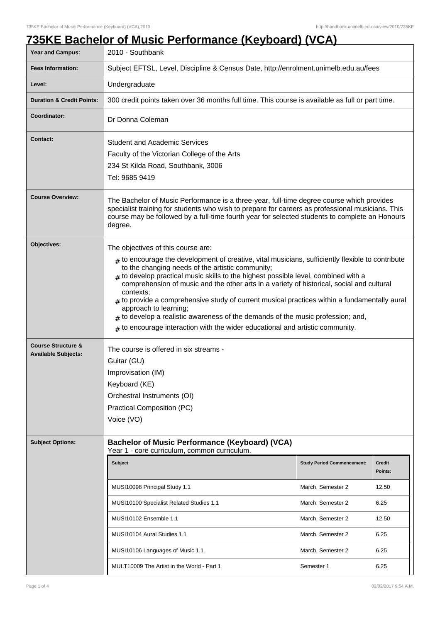## **735KE Bachelor of Music Performance (Keyboard) (VCA)**

| <b>Year and Campus:</b>                                     | <u> SHOIGI VI MUOIG I OHONHUIGO (KOYNGUU)</u><br>2010 - Southbank                                                                                                                                                                                                                                                                                                                                                                                                                                                                                                                                                                                                                                         |                                   |                          |  |
|-------------------------------------------------------------|-----------------------------------------------------------------------------------------------------------------------------------------------------------------------------------------------------------------------------------------------------------------------------------------------------------------------------------------------------------------------------------------------------------------------------------------------------------------------------------------------------------------------------------------------------------------------------------------------------------------------------------------------------------------------------------------------------------|-----------------------------------|--------------------------|--|
| <b>Fees Information:</b>                                    | Subject EFTSL, Level, Discipline & Census Date, http://enrolment.unimelb.edu.au/fees                                                                                                                                                                                                                                                                                                                                                                                                                                                                                                                                                                                                                      |                                   |                          |  |
| Level:                                                      | Undergraduate                                                                                                                                                                                                                                                                                                                                                                                                                                                                                                                                                                                                                                                                                             |                                   |                          |  |
| <b>Duration &amp; Credit Points:</b>                        | 300 credit points taken over 36 months full time. This course is available as full or part time.                                                                                                                                                                                                                                                                                                                                                                                                                                                                                                                                                                                                          |                                   |                          |  |
| Coordinator:                                                | Dr Donna Coleman                                                                                                                                                                                                                                                                                                                                                                                                                                                                                                                                                                                                                                                                                          |                                   |                          |  |
| <b>Contact:</b>                                             | <b>Student and Academic Services</b><br>Faculty of the Victorian College of the Arts<br>234 St Kilda Road, Southbank, 3006<br>Tel: 9685 9419                                                                                                                                                                                                                                                                                                                                                                                                                                                                                                                                                              |                                   |                          |  |
| <b>Course Overview:</b>                                     | The Bachelor of Music Performance is a three-year, full-time degree course which provides<br>specialist training for students who wish to prepare for careers as professional musicians. This<br>course may be followed by a full-time fourth year for selected students to complete an Honours<br>degree.                                                                                                                                                                                                                                                                                                                                                                                                |                                   |                          |  |
| Objectives:                                                 | The objectives of this course are:<br>$_{\#}$ to encourage the development of creative, vital musicians, sufficiently flexible to contribute<br>to the changing needs of the artistic community;<br>$#$ to develop practical music skills to the highest possible level, combined with a<br>comprehension of music and the other arts in a variety of historical, social and cultural<br>contexts:<br>$#$ to provide a comprehensive study of current musical practices within a fundamentally aural<br>approach to learning;<br>$_{\#}$ to develop a realistic awareness of the demands of the music profession; and,<br>$#$ to encourage interaction with the wider educational and artistic community. |                                   |                          |  |
| <b>Course Structure &amp;</b><br><b>Available Subjects:</b> | The course is offered in six streams -<br>Guitar (GU)<br>Improvisation (IM)<br>Keyboard (KE)<br>Orchestral Instruments (OI)<br><b>Practical Composition (PC)</b><br>Voice (VO)                                                                                                                                                                                                                                                                                                                                                                                                                                                                                                                            |                                   |                          |  |
| <b>Subject Options:</b>                                     | <b>Bachelor of Music Performance (Keyboard) (VCA)</b><br>Year 1 - core curriculum, common curriculum.                                                                                                                                                                                                                                                                                                                                                                                                                                                                                                                                                                                                     |                                   |                          |  |
|                                                             | <b>Subject</b>                                                                                                                                                                                                                                                                                                                                                                                                                                                                                                                                                                                                                                                                                            | <b>Study Period Commencement:</b> | <b>Credit</b><br>Points: |  |
|                                                             | MUSI10098 Principal Study 1.1                                                                                                                                                                                                                                                                                                                                                                                                                                                                                                                                                                                                                                                                             | March, Semester 2                 | 12.50                    |  |
|                                                             | MUSI10100 Specialist Related Studies 1.1                                                                                                                                                                                                                                                                                                                                                                                                                                                                                                                                                                                                                                                                  | March, Semester 2                 | 6.25                     |  |
|                                                             | MUSI10102 Ensemble 1.1                                                                                                                                                                                                                                                                                                                                                                                                                                                                                                                                                                                                                                                                                    | March, Semester 2                 | 12.50                    |  |
|                                                             | MUSI10104 Aural Studies 1.1                                                                                                                                                                                                                                                                                                                                                                                                                                                                                                                                                                                                                                                                               | March, Semester 2                 | 6.25                     |  |
|                                                             | MUSI10106 Languages of Music 1.1                                                                                                                                                                                                                                                                                                                                                                                                                                                                                                                                                                                                                                                                          | March, Semester 2                 | 6.25                     |  |
|                                                             | MULT10009 The Artist in the World - Part 1                                                                                                                                                                                                                                                                                                                                                                                                                                                                                                                                                                                                                                                                | Semester 1                        | 6.25                     |  |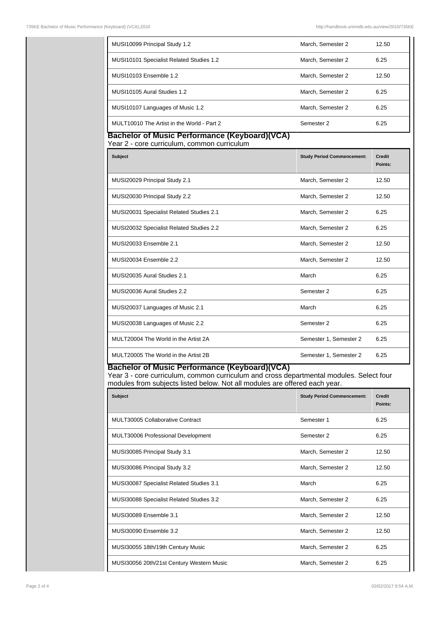| MUSI10099 Principal Study 1.2                                                                                                                                                                                                                                                                  | March, Semester 2                 | 12.50                    |  |  |  |
|------------------------------------------------------------------------------------------------------------------------------------------------------------------------------------------------------------------------------------------------------------------------------------------------|-----------------------------------|--------------------------|--|--|--|
| MUSI10101 Specialist Related Studies 1.2                                                                                                                                                                                                                                                       | March. Semester 2                 | 6.25                     |  |  |  |
| MUSI10103 Ensemble 1.2                                                                                                                                                                                                                                                                         | March. Semester 2                 | 12.50                    |  |  |  |
| MUSI10105 Aural Studies 1.2                                                                                                                                                                                                                                                                    | March, Semester 2                 | 6.25                     |  |  |  |
| MUSI10107 Languages of Music 1.2                                                                                                                                                                                                                                                               | March, Semester 2                 | 6.25                     |  |  |  |
| MULT10010 The Artist in the World - Part 2                                                                                                                                                                                                                                                     | Semester 2                        | 6.25                     |  |  |  |
| <b>Bachelor of Music Performance (Keyboard)(VCA)</b><br>Year 2 - core curriculum, common curriculum                                                                                                                                                                                            |                                   |                          |  |  |  |
| <b>Subject</b>                                                                                                                                                                                                                                                                                 | <b>Study Period Commencement:</b> | <b>Credit</b><br>Points: |  |  |  |
| MUSI20029 Principal Study 2.1                                                                                                                                                                                                                                                                  | March, Semester 2                 | 12.50                    |  |  |  |
| MUSI20030 Principal Study 2.2                                                                                                                                                                                                                                                                  | March, Semester 2                 | 12.50                    |  |  |  |
| MUSI20031 Specialist Related Studies 2.1                                                                                                                                                                                                                                                       | March, Semester 2                 | 6.25                     |  |  |  |
| MUSI20032 Specialist Related Studies 2.2                                                                                                                                                                                                                                                       | March, Semester 2                 | 6.25                     |  |  |  |
| MUSI20033 Ensemble 2.1                                                                                                                                                                                                                                                                         | March, Semester 2                 | 12.50                    |  |  |  |
| MUSI20034 Ensemble 2.2                                                                                                                                                                                                                                                                         | March, Semester 2                 | 12.50                    |  |  |  |
| MUSI20035 Aural Studies 2.1                                                                                                                                                                                                                                                                    | March                             | 6.25                     |  |  |  |
| MUSI20036 Aural Studies 2.2                                                                                                                                                                                                                                                                    | Semester 2                        | 6.25                     |  |  |  |
| MUSI20037 Languages of Music 2.1                                                                                                                                                                                                                                                               | March                             | 6.25                     |  |  |  |
| MUSI20038 Languages of Music 2.2                                                                                                                                                                                                                                                               | Semester 2                        | 6.25                     |  |  |  |
| MULT20004 The World in the Artist 2A                                                                                                                                                                                                                                                           | Semester 1, Semester 2            | 6.25                     |  |  |  |
| MULT20005 The World in the Artist 2B                                                                                                                                                                                                                                                           | Semester 1, Semester 2            | 6.25                     |  |  |  |
| Bachelor of Music Performance (Keyboard)(VCA)<br>Year 3 - core curriculum, common curriculum and cross departmental modules. Select four<br>modules from subjects listed below. Not all modules are offered each year.<br><b>Subject</b><br><b>Study Period Commencement:</b><br><b>Credit</b> |                                   |                          |  |  |  |
|                                                                                                                                                                                                                                                                                                |                                   | Points:                  |  |  |  |
| MULT30005 Collaborative Contract                                                                                                                                                                                                                                                               | Semester 1                        | 6.25                     |  |  |  |
| MULT30006 Professional Development                                                                                                                                                                                                                                                             | Semester 2                        | 6.25                     |  |  |  |
| MUSI30085 Principal Study 3.1                                                                                                                                                                                                                                                                  | March, Semester 2                 | 12.50                    |  |  |  |
| MUSI30086 Principal Study 3.2                                                                                                                                                                                                                                                                  | March, Semester 2                 | 12.50                    |  |  |  |
| MUSI30087 Specialist Related Studies 3.1                                                                                                                                                                                                                                                       | March                             | 6.25                     |  |  |  |
| MUSI30088 Specialist Related Studies 3.2                                                                                                                                                                                                                                                       | March, Semester 2                 | 6.25                     |  |  |  |
| MUSI30089 Ensemble 3.1                                                                                                                                                                                                                                                                         | March, Semester 2                 | 12.50                    |  |  |  |
| MUSI30090 Ensemble 3.2                                                                                                                                                                                                                                                                         | March, Semester 2                 | 12.50                    |  |  |  |

MUSI30055 18th/19th Century Music Music Music March, Semester 2 6.25

MUSI30056 20th/21st Century Western Music Music Music March, Semester 2 6.25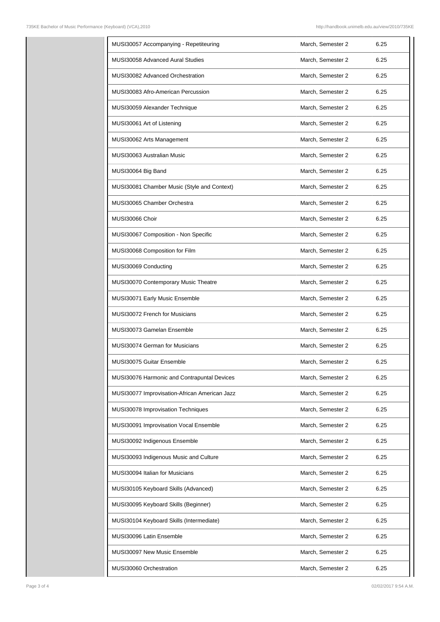| MUSI30057 Accompanying - Repetiteuring        | March, Semester 2 | 6.25 |
|-----------------------------------------------|-------------------|------|
| MUSI30058 Advanced Aural Studies              | March, Semester 2 | 6.25 |
| MUSI30082 Advanced Orchestration              | March, Semester 2 | 6.25 |
| MUSI30083 Afro-American Percussion            | March, Semester 2 | 6.25 |
| MUSI30059 Alexander Technique                 | March, Semester 2 | 6.25 |
| MUSI30061 Art of Listening                    | March, Semester 2 | 6.25 |
| MUSI30062 Arts Management                     | March, Semester 2 | 6.25 |
| MUSI30063 Australian Music                    | March, Semester 2 | 6.25 |
| MUSI30064 Big Band                            | March, Semester 2 | 6.25 |
| MUSI30081 Chamber Music (Style and Context)   | March, Semester 2 | 6.25 |
| MUSI30065 Chamber Orchestra                   | March, Semester 2 | 6.25 |
| MUSI30066 Choir                               | March, Semester 2 | 6.25 |
| MUSI30067 Composition - Non Specific          | March, Semester 2 | 6.25 |
| MUSI30068 Composition for Film                | March, Semester 2 | 6.25 |
| MUSI30069 Conducting                          | March, Semester 2 | 6.25 |
| MUSI30070 Contemporary Music Theatre          | March, Semester 2 | 6.25 |
| MUSI30071 Early Music Ensemble                | March, Semester 2 | 6.25 |
| MUSI30072 French for Musicians                | March, Semester 2 | 6.25 |
| MUSI30073 Gamelan Ensemble                    | March, Semester 2 | 6.25 |
| MUSI30074 German for Musicians                | March, Semester 2 | 6.25 |
| <b>MUSI30075 Guitar Ensemble</b>              | March, Semester 2 | 6.25 |
| MUSI30076 Harmonic and Contrapuntal Devices   | March, Semester 2 | 6.25 |
| MUSI30077 Improvisation-African American Jazz | March, Semester 2 | 6.25 |
| MUSI30078 Improvisation Techniques            | March, Semester 2 | 6.25 |
| MUSI30091 Improvisation Vocal Ensemble        | March, Semester 2 | 6.25 |
| MUSI30092 Indigenous Ensemble                 | March, Semester 2 | 6.25 |
| MUSI30093 Indigenous Music and Culture        | March, Semester 2 | 6.25 |
| MUSI30094 Italian for Musicians               | March, Semester 2 | 6.25 |
| MUSI30105 Keyboard Skills (Advanced)          | March, Semester 2 | 6.25 |
| MUSI30095 Keyboard Skills (Beginner)          | March, Semester 2 | 6.25 |
| MUSI30104 Keyboard Skills (Intermediate)      | March, Semester 2 | 6.25 |
| MUSI30096 Latin Ensemble                      | March, Semester 2 | 6.25 |
| MUSI30097 New Music Ensemble                  | March, Semester 2 | 6.25 |
| MUSI30060 Orchestration                       | March, Semester 2 | 6.25 |